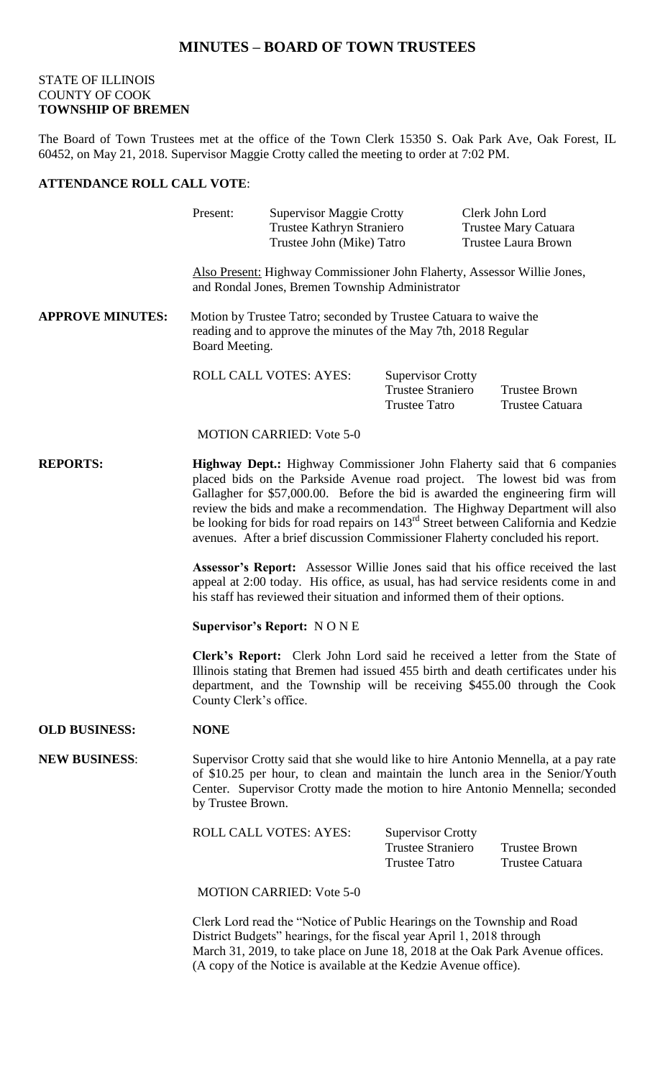# **MINUTES – BOARD OF TOWN TRUSTEES**

## STATE OF ILLINOIS COUNTY OF COOK **TOWNSHIP OF BREMEN**

The Board of Town Trustees met at the office of the Town Clerk 15350 S. Oak Park Ave, Oak Forest, IL 60452, on May 21, 2018. Supervisor Maggie Crotty called the meeting to order at 7:02 PM.

### **ATTENDANCE ROLL CALL VOTE**:

|                         | Present:                                                                                                                                                                                                                                                                                                                                                                                                                                                                                                | <b>Supervisor Maggie Crotty</b><br>Trustee Kathryn Straniero<br>Trustee John (Mike) Tatro |                                                                              | Clerk John Lord<br>Trustee Mary Catuara<br><b>Trustee Laura Brown</b> |                                         |  |
|-------------------------|---------------------------------------------------------------------------------------------------------------------------------------------------------------------------------------------------------------------------------------------------------------------------------------------------------------------------------------------------------------------------------------------------------------------------------------------------------------------------------------------------------|-------------------------------------------------------------------------------------------|------------------------------------------------------------------------------|-----------------------------------------------------------------------|-----------------------------------------|--|
|                         | Also Present: Highway Commissioner John Flaherty, Assessor Willie Jones,<br>and Rondal Jones, Bremen Township Administrator                                                                                                                                                                                                                                                                                                                                                                             |                                                                                           |                                                                              |                                                                       |                                         |  |
| <b>APPROVE MINUTES:</b> | Motion by Trustee Tatro; seconded by Trustee Catuara to waive the<br>reading and to approve the minutes of the May 7th, 2018 Regular<br>Board Meeting.                                                                                                                                                                                                                                                                                                                                                  |                                                                                           |                                                                              |                                                                       |                                         |  |
|                         |                                                                                                                                                                                                                                                                                                                                                                                                                                                                                                         | ROLL CALL VOTES: AYES:                                                                    | <b>Supervisor Crotty</b><br><b>Trustee Straniero</b><br><b>Trustee Tatro</b> |                                                                       | <b>Trustee Brown</b><br>Trustee Catuara |  |
|                         |                                                                                                                                                                                                                                                                                                                                                                                                                                                                                                         | <b>MOTION CARRIED: Vote 5-0</b>                                                           |                                                                              |                                                                       |                                         |  |
| <b>REPORTS:</b>         | Highway Dept.: Highway Commissioner John Flaherty said that 6 companies<br>placed bids on the Parkside Avenue road project. The lowest bid was from<br>Gallagher for \$57,000.00. Before the bid is awarded the engineering firm will<br>review the bids and make a recommendation. The Highway Department will also<br>be looking for bids for road repairs on 143 <sup>rd</sup> Street between California and Kedzie<br>avenues. After a brief discussion Commissioner Flaherty concluded his report. |                                                                                           |                                                                              |                                                                       |                                         |  |
|                         | <b>Assessor's Report:</b> Assessor Willie Jones said that his office received the last<br>appeal at 2:00 today. His office, as usual, has had service residents come in and<br>his staff has reviewed their situation and informed them of their options.                                                                                                                                                                                                                                               |                                                                                           |                                                                              |                                                                       |                                         |  |
|                         | <b>Supervisor's Report: NONE</b>                                                                                                                                                                                                                                                                                                                                                                                                                                                                        |                                                                                           |                                                                              |                                                                       |                                         |  |
|                         | Clerk's Report: Clerk John Lord said he received a letter from the State of<br>Illinois stating that Bremen had issued 455 birth and death certificates under his<br>department, and the Township will be receiving \$455.00 through the Cook<br>County Clerk's office.                                                                                                                                                                                                                                 |                                                                                           |                                                                              |                                                                       |                                         |  |
| <b>OLD BUSINESS:</b>    | <b>NONE</b>                                                                                                                                                                                                                                                                                                                                                                                                                                                                                             |                                                                                           |                                                                              |                                                                       |                                         |  |
| <b>NEW BUSINESS:</b>    | Supervisor Crotty said that she would like to hire Antonio Mennella, at a pay rate<br>of \$10.25 per hour, to clean and maintain the lunch area in the Senior/Youth<br>Center. Supervisor Crotty made the motion to hire Antonio Mennella; seconded<br>by Trustee Brown.                                                                                                                                                                                                                                |                                                                                           |                                                                              |                                                                       |                                         |  |
|                         |                                                                                                                                                                                                                                                                                                                                                                                                                                                                                                         | <b>ROLL CALL VOTES: AYES:</b>                                                             | <b>Supervisor Crotty</b><br><b>Trustee Straniero</b><br><b>Trustee Tatro</b> |                                                                       | <b>Trustee Brown</b><br>Trustee Catuara |  |
|                         | <b>MOTION CARRIED: Vote 5-0</b>                                                                                                                                                                                                                                                                                                                                                                                                                                                                         |                                                                                           |                                                                              |                                                                       |                                         |  |
|                         | Clerk Lord read the "Notice of Public Hearings on the Township and Road                                                                                                                                                                                                                                                                                                                                                                                                                                 |                                                                                           |                                                                              |                                                                       |                                         |  |

District Budgets" hearings, for the fiscal year April 1, 2018 through March 31, 2019, to take place on June 18, 2018 at the Oak Park Avenue offices. (A copy of the Notice is available at the Kedzie Avenue office).